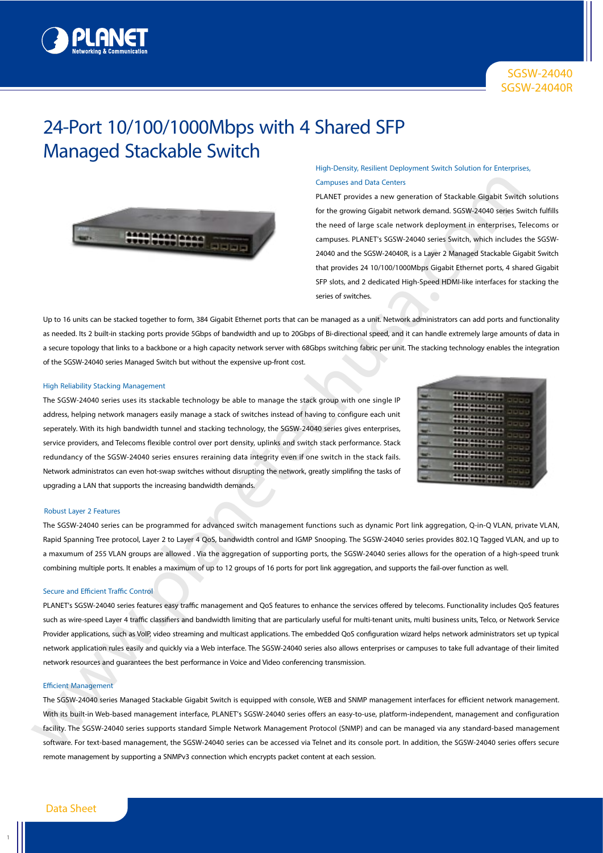

# 24-Port 10/100/1000Mbps with 4 Shared SFP Managed Stackable Switch



# High-Density, Resilient Deployment Switch Solution for Enterprises, Campuses and Data Centers

PLANET provides a new generation of Stackable Gigabit Switch solutions for the growing Gigabit network demand. SGSW-24040 series Switch fulfills the need of large scale network deployment in enterprises, Telecoms or campuses. PLANET's SGSW-24040 series Switch, which includes the SGSW-24040 and the SGSW-24040R, is a Layer 2 Managed Stackable Gigabit Switch that provides 24 10/100/1000Mbps Gigabit Ethernet ports, 4 shared Gigabit SFP slots, and 2 dedicated High-Speed HDMI-like interfaces for stacking the series of switches.

Up to 16 units can be stacked together to form, 384 Gigabit Ethernet ports that can be managed as a unit. Network administrators can add ports and functionality as needed. Its 2 built-in stacking ports provide 5Gbps of bandwidth and up to 20Gbps of Bi-directional speed, and it can handle extremely large amounts of data in a secure topology that links to a backbone or a high capacity network server with 68Gbps switching fabric per unit. The stacking technology enables the integration of the SGSW-24040 series Managed Switch but without the expensive up-front cost.

#### High Reliability Stacking Management

The SGSW-24040 series uses its stackable technology be able to manage the stack group with one single IP address, helping network managers easily manage a stack of switches instead of having to configure each unit seperately. With its high bandwidth tunnel and stacking technology, the SGSW-24040 series gives enterprises, service providers, and Telecoms flexible control over port density, uplinks and switch stack performance. Stack redundancy of the SGSW-24040 series ensures reraining data integrity even if one switch in the stack fails. Network administratos can even hot-swap switches without disrupting the network, greatly simplifing the tasks of UPGRADING THE CONSERVATION CONTINUES INTO A CONSERVATION CONSERVATION (THE ACT AND ANOTHOLOGICAL CONSERVATION CONSERVATION CONSERVATION (THE ANNO AND A CONSERVATION CONSERVATION CONSERVATION CONSERVATION CONSERVATION CO

|    | 4444 4444 4444<br><b>STEP/STEP/STEP</b><br>---                           |  |
|----|--------------------------------------------------------------------------|--|
|    | <b>AA48 AA48 AA48</b><br><b><i>STORY STORY STORY</i></b><br>$-1 - 1 - 1$ |  |
| -  | 4444 4444 4444<br><br>----                                               |  |
|    | 4444 4444 4444<br><b>TTTT PTTTTFFF</b><br>-1-1-1-                        |  |
| -  | <b>AAAA AAAA AAAA</b>                                                    |  |
| ــ | 4668 6668 6666<br><b>STEELWAYS STEEL</b><br>-1-1-1-                      |  |
|    | 4448 4558 4556<br><b><i><u>ABSE BROOMBARD</u></i></b>                    |  |
| -  | <b>ARAB AREA   4422</b><br>,,,,,,,,,,,,,,<br>$-1 = 1 = 1 =$              |  |

#### Robust Layer 2 Features

The SGSW-24040 series can be programmed for advanced switch management functions such as dynamic Port link aggregation, Q-in-Q VLAN, private VLAN, Rapid Spanning Tree protocol, Layer 2 to Layer 4 QoS, bandwidth control and IGMP Snooping. The SGSW-24040 series provides 802.1Q Tagged VLAN, and up to a maxumum of 255 VLAN groups are allowed . Via the aggregation of supporting ports, the SGSW-24040 series allows for the operation of a high-speed trunk combining multiple ports. It enables a maximum of up to 12 groups of 16 ports for port link aggregation, and supports the fail-over function as well.

## Secure and Efficient Traffic Control

PLANET's SGSW-24040 series features easy traffic management and QoS features to enhance the services offered by telecoms. Functionality includes QoS features such as wire-speed Layer 4 traffic classifiers and bandwidth limiting that are particularly useful for multi-tenant units, multi business units, Telco, or Network Service Provider applications, such as VoIP, video streaming and multicast applications. The embedded QoS configuration wizard helps network administrators set up typical network application rules easily and quickly via a Web interface. The SGSW-24040 series also allows enterprises or campuses to take full advantage of their limited network resources and guarantees the best performance in Voice and Video conferencing transmission.

## Efficient Management

The SGSW-24040 series Managed Stackable Gigabit Switch is equipped with console, WEB and SNMP management interfaces for efficient network management. With its built-in Web-based management interface, PLANET's SGSW-24040 series offers an easy-to-use, platform-independent, management and configuration facility. The SGSW-24040 series supports standard Simple Network Management Protocol (SNMP) and can be managed via any standard-based management software. For text-based management, the SGSW-24040 series can be accessed via Telnet and its console port. In addition, the SGSW-24040 series offers secure remote management by supporting a SNMPv3 connection which encrypts packet content at each session.

1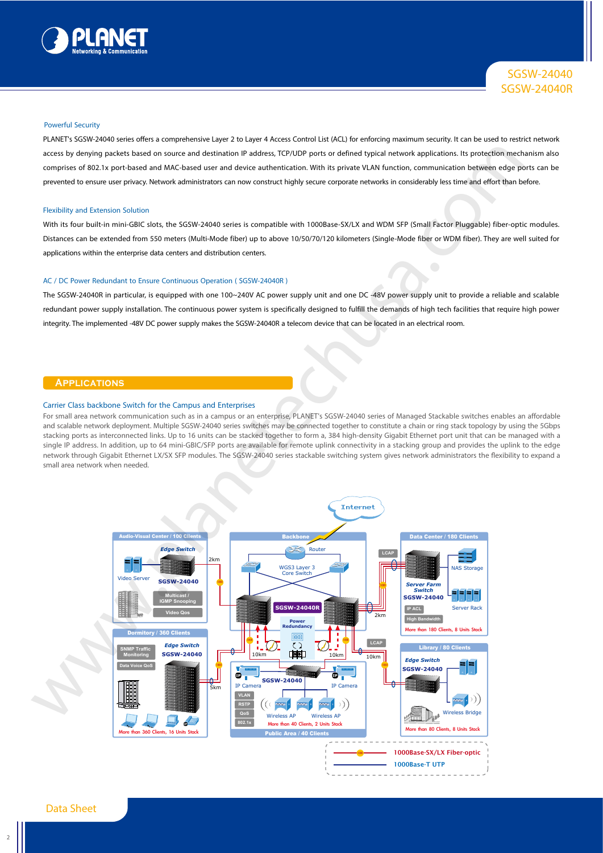

## Powerful Security

PLANET's SGSW-24040 series offers a comprehensive Layer 2 to Layer 4 Access Control List (ACL) for enforcing maximum security. It can be used to restrict network access by denying packets based on source and destination IP address, TCP/UDP ports or defined typical network applications. Its protection mechanism also comprises of 802.1x port-based and MAC-based user and device authentication. With its private VLAN function, communication between edge ports can be prevented to ensure user privacy. Network administrators can now construct highly secure corporate networks in considerably less time and effort than before.

#### Flexibility and Extension Solution

With its four built-in mini-GBIC slots, the SGSW-24040 series is compatible with 1000Base-SX/LX and WDM SFP (Small Factor Pluggable) fiber-optic modules. Distances can be extended from 550 meters (Multi-Mode fiber) up to above 10/50/70/120 kilometers (Single-Mode fiber or WDM fiber). They are well suited for applications within the enterprise data centers and distribution centers.

# AC / DC Power Redundant to Ensure Continuous Operation ( SGSW-24040R )

The SGSW-24040R in particular, is equipped with one 100~240V AC power supply unit and one DC -48V power supply unit to provide a reliable and scalable redundant power supply installation. The continuous power system is specifically designed to fulfill the demands of high tech facilities that require high power integrity. The implemented -48V DC power supply makes the SGSW-24040R a telecom device that can be located in an electrical room.

# **Applications**

#### Carrier Class backbone Switch for the Campus and Enterprises

For small area network communication such as in a campus or an enterprise, PLANET's SGSW-24040 series of Managed Stackable switches enables an affordable and scalable network deployment. Multiple SGSW-24040 series switches may be connected together to constitute a chain or ring stack topology by using the 5Gbps stacking ports as interconnected links. Up to 16 units can be stacked together to form a, 384 high-density Gigabit Ethernet port unit that can be managed with a single IP address. In addition, up to 64 mini-GBIC/SFP ports are available for remote uplink connectivity in a stacking group and provides the uplink to the edge network through Gigabit Ethernet LX/SX SFP modules. The SGSW-24040 series stackable switching system gives network administrators the flexibility to expand a small area network when needed.

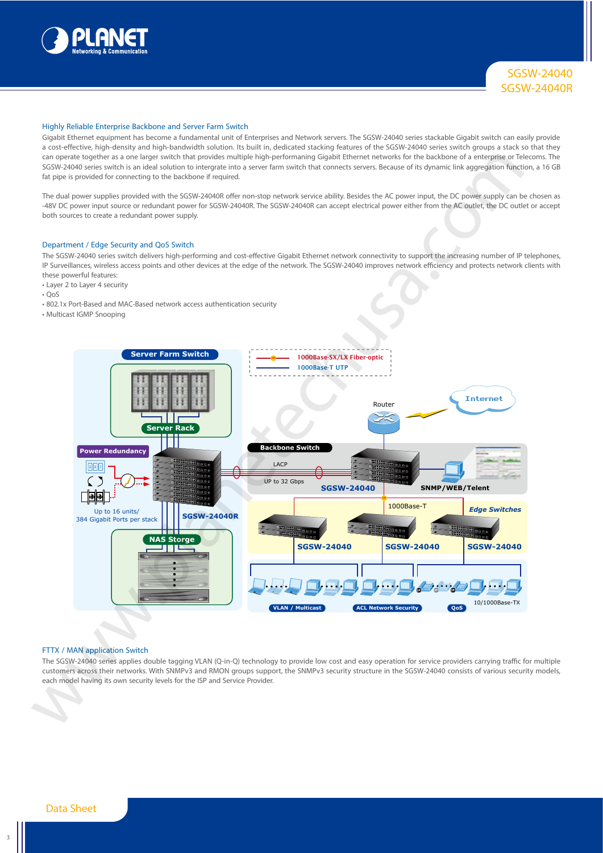

## Highly Reliable Enterprise Backbone and Server Farm Switch

Gigabit Ethernet equipment has become a fundamental unit of Enterprises and Network servers. The SGSW-24040 series stackable Gigabit switch can easily provide a cost-effective, high-density and high-bandwidth solution. Its built in, dedicated stacking features of the SGSW-24040 series switch groups a stack so that they can operate together as a one larger switch that provides multiple high-performaning Gigabit Ethernet networks for the backbone of a enterprise or Telecoms. The SGSW-24040 series switch is an ideal solution to intergrate into a server farm switch that connects servers. Because of its dynamic link aggregation function, a 16 GB fat pipe is provided for connecting to the backbone if required.

The dual power supplies provided with the SGSW-24040R offer non-stop network service ability. Besides the AC power input, the DC power supply can be chosen as -48V DC power input source or redundant power for SGSW-24040R. The SGSW-24040R can accept electrical power either from the AC outlet, the DC outlet or accept both sources to create a redundant power supply.

#### Department / Edge Security and QoS Switch

The SGSW-24040 series switch delivers high-performing and cost-effective Gigabit Ethernet network connectivity to support the increasing number of IP telephones, IP Surveillances, wireless access points and other devices at the edge of the network. The SGSW-24040 improves network efficiency and protects network clients with these powerful features:

- Layer 2 to Layer 4 security
- $\cdot$  Oos
- 802.1x Port-Based and MAC-Based network access authentication security
- Multicast IGMP Snooping



#### FTTX / MAN application Switch

The SGSW-24040 series applies double tagging VLAN (Q-in-Q) technology to provide low cost and easy operation for service providers carrying traffic for multiple customers across their networks. With SNMPv3 and RMON groups support, the SNMPv3 security structure in the SGSW-24040 consists of various security models,

3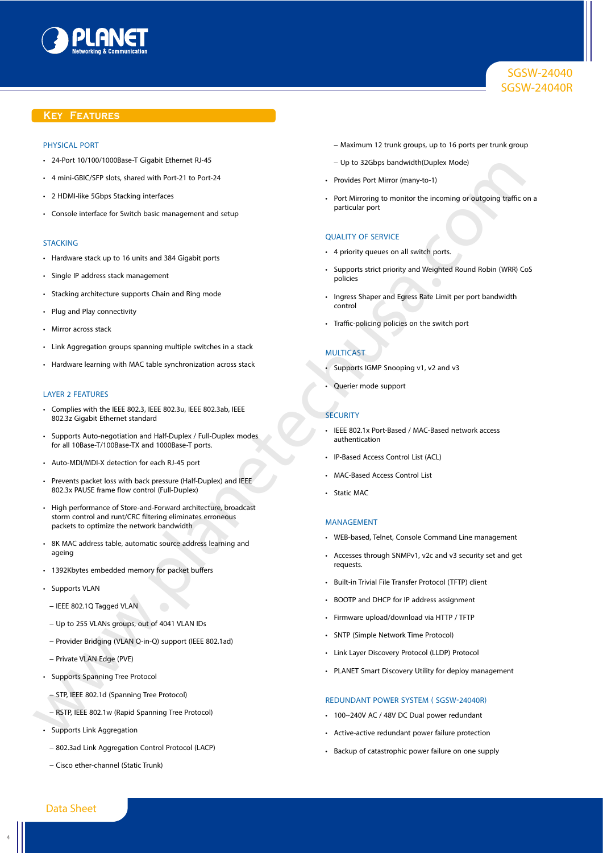

# SGSW-24040 SGSW-24040R

# **Key Features**

## PHYSICAL PORT

- 24-Port 10/100/1000Base-T Gigabit Ethernet RJ-45
- 4 mini-GBIC/SFP slots, shared with Port-21 to Port-24
- 2 HDMI-like 5Gbps Stacking interfaces
- Console interface for Switch basic management and setup

#### **STACKING**

- Hardware stack up to 16 units and 384 Gigabit ports
- Single IP address stack management
- Stacking architecture supports Chain and Ring mode
- Plug and Play connectivity
- Mirror across stack
- Link Aggregation groups spanning multiple switches in a stack
- Hardware learning with MAC table synchronization across stack

#### LAYER 2 FEATURES

- Complies with the IEEE 802.3, IEEE 802.3u, IEEE 802.3ab, IEEE 802.3z Gigabit Ethernet standard
- Supports Auto-negotiation and Half-Duplex / Full-Duplex modes for all 10Base-T/100Base-TX and 1000Base-T ports.
- Auto-MDI/MDI-X detection for each RJ-45 port
- Prevents packet loss with back pressure (Half-Duplex) and IEEE 802.3x PAUSE frame flow control (Full-Duplex)
- High performance of Store-and-Forward architecture, broadcast storm control and runt/CRC filtering eliminates erroneous packets to optimize the network bandwidth • Active Research is a street of the street of the street of the street of the street of the street of the street of the street of the street of the street of the street of the street of the street of the street of the st
	- 8K MAC address table, automatic source address learning and ageing
	- 1392Kbytes embedded memory for packet buffers
	- Supports VLAN
	- − IEEE 802.1Q Tagged VLAN
	- − Up to 255 VLANs groups, out of 4041 VLAN IDs
	- − Provider Bridging (VLAN Q-in-Q) support (IEEE 802.1ad)
	- − Private VLAN Edge (PVE)
	- Supports Spanning Tree Protocol
		- − STP, IEEE 802.1d (Spanning Tree Protocol)
	- − RSTP, IEEE 802.1w (Rapid Spanning Tree Protocol)
	- Supports Link Aggregation
	- − 802.3ad Link Aggregation Control Protocol (LACP)
	- − Cisco ether-channel (Static Trunk)
- − Maximum 12 trunk groups, up to 16 ports per trunk group
- − Up to 32Gbps bandwidth(Duplex Mode)
- Provides Port Mirror (many-to-1)
- Port Mirroring to monitor the incoming or outgoing traffic on a particular port

#### QUALITY OF SERVICE

- 4 priority queues on all switch ports.
- Supports strict priority and Weighted Round Robin (WRR) CoS policies
- Ingress Shaper and Egress Rate Limit per port bandwidth control
- Traffic-policing policies on the switch port

# **MULTICAST**

- Supports IGMP Snooping v1, v2 and v3
- Querier mode support

#### **SECURITY**

- IEEE 802.1x Port-Based / MAC-Based network access authentication
- IP-Based Access Control List (ACL)
- MAC-Based Access Control List
- Static MAC

#### **MANAGEMENT**

- WEB-based, Telnet, Console Command Line management
- Accesses through SNMPv1, v2c and v3 security set and get requests.
- Built-in Trivial File Transfer Protocol (TFTP) client
- BOOTP and DHCP for IP address assignment
- Firmware upload/download via HTTP / TFTP
- SNTP (Simple Network Time Protocol)
- Link Layer Discovery Protocol (LLDP) Protocol
- PLANET Smart Discovery Utility for deploy management

## REDUNDANT POWER SYSTEM ( SGSW-24040R)

- 100~240V AC / 48V DC Dual power redundant
- 
- Backup of catastrophic power failure on one supply

4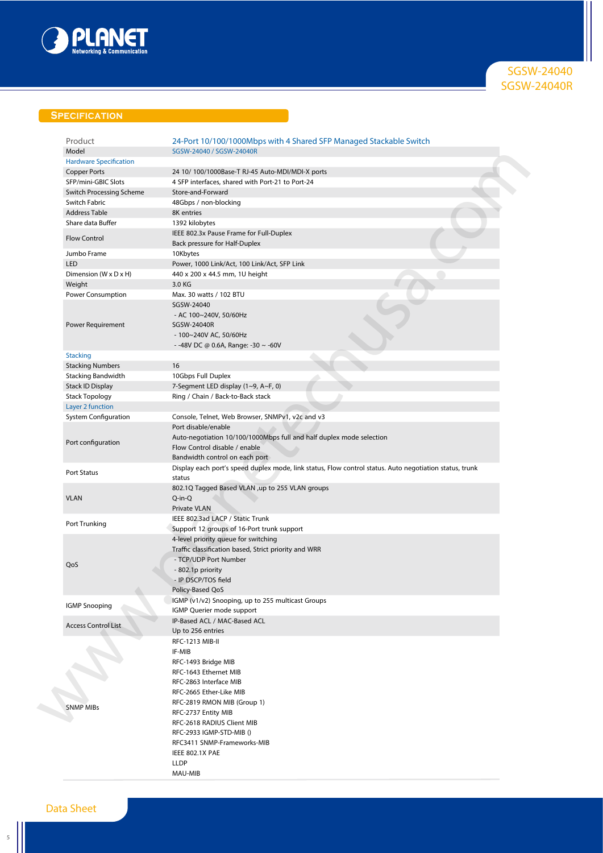

SGSW-24040 SGSW-24040R

# **Specification**

| Product                       | 24-Port 10/100/1000Mbps with 4 Shared SFP Managed Stackable Switch                                      |
|-------------------------------|---------------------------------------------------------------------------------------------------------|
| Model                         | SGSW-24040 / SGSW-24040R                                                                                |
| <b>Hardware Specification</b> |                                                                                                         |
| <b>Copper Ports</b>           | 24 10/ 100/1000Base-T RJ-45 Auto-MDI/MDI-X ports                                                        |
| SFP/mini-GBIC Slots           | 4 SFP interfaces, shared with Port-21 to Port-24                                                        |
| Switch Processing Scheme      | Store-and-Forward                                                                                       |
| Switch Fabric                 | 48Gbps / non-blocking                                                                                   |
| <b>Address Table</b>          | 8K entries                                                                                              |
|                               |                                                                                                         |
| Share data Buffer             | 1392 kilobytes                                                                                          |
| <b>Flow Control</b>           | IEEE 802.3x Pause Frame for Full-Duplex                                                                 |
|                               | Back pressure for Half-Duplex                                                                           |
| Jumbo Frame                   | 10Kbytes                                                                                                |
| <b>LED</b>                    | Power, 1000 Link/Act, 100 Link/Act, SFP Link                                                            |
| Dimension (W x D x H)         | 440 x 200 x 44.5 mm, 1U height                                                                          |
| Weight                        | 3.0 KG                                                                                                  |
| Power Consumption             | Max. 30 watts / 102 BTU                                                                                 |
|                               | SGSW-24040                                                                                              |
|                               | - AC $100~240V$ , $50/60Hz$                                                                             |
| Power Requirement             | SGSW-24040R                                                                                             |
|                               |                                                                                                         |
|                               | - 100~240V AC, 50/60Hz                                                                                  |
|                               | - -48V DC @ 0.6A, Range: -30 $\sim$ -60V                                                                |
| <b>Stacking</b>               |                                                                                                         |
| <b>Stacking Numbers</b>       | 16                                                                                                      |
| <b>Stacking Bandwidth</b>     | 10Gbps Full Duplex                                                                                      |
| Stack ID Display              | 7-Segment LED display (1~9, A~F, 0)                                                                     |
| <b>Stack Topology</b>         | Ring / Chain / Back-to-Back stack                                                                       |
| Layer 2 function              |                                                                                                         |
| <b>System Configuration</b>   | Console, Telnet, Web Browser, SNMPv1, v2c and v3                                                        |
|                               | Port disable/enable                                                                                     |
|                               | Auto-negotiation 10/100/1000Mbps full and half duplex mode selection                                    |
| Port configuration            |                                                                                                         |
|                               | Flow Control disable / enable                                                                           |
|                               | Bandwidth control on each port                                                                          |
| <b>Port Status</b>            | Display each port's speed duplex mode, link status, Flow control status. Auto negotiation status, trunk |
|                               | status                                                                                                  |
|                               | 802.1Q Tagged Based VLAN ,up to 255 VLAN groups                                                         |
| <b>VLAN</b>                   | $Q$ -in- $Q$                                                                                            |
|                               | Private VLAN                                                                                            |
|                               | IEEE 802.3ad LACP / Static Trunk                                                                        |
| Port Trunking                 | Support 12 groups of 16-Port trunk support                                                              |
|                               | 4-level priority queue for switching                                                                    |
|                               | Traffic classification based, Strict priority and WRR                                                   |
|                               |                                                                                                         |
| QoS                           | - TCP/UDP Port Number                                                                                   |
|                               | - 802.1p priority                                                                                       |
|                               | - IP DSCP/TOS field                                                                                     |
|                               | Policy-Based QoS                                                                                        |
|                               | IGMP (v1/v2) Snooping, up to 255 multicast Groups                                                       |
| <b>IGMP Snooping</b>          | IGMP Querier mode support                                                                               |
|                               | IP-Based ACL / MAC-Based ACL                                                                            |
| <b>Access Control List</b>    | Up to 256 entries                                                                                       |
|                               | RFC-1213 MIB-II                                                                                         |
|                               |                                                                                                         |
|                               | IF-MIB                                                                                                  |
|                               | RFC-1493 Bridge MIB                                                                                     |
|                               | RFC-1643 Ethernet MIB                                                                                   |
|                               | RFC-2863 Interface MIB                                                                                  |
|                               | RFC-2665 Ether-Like MIB                                                                                 |
|                               | RFC-2819 RMON MIB (Group 1)                                                                             |
| <b>SNMP MIBs</b>              | RFC-2737 Entity MIB                                                                                     |
|                               | RFC-2618 RADIUS Client MIB                                                                              |
|                               |                                                                                                         |
|                               | RFC-2933 IGMP-STD-MIB ()                                                                                |
|                               | RFC3411 SNMP-Frameworks-MIB                                                                             |
|                               | IEEE 802.1X PAE                                                                                         |
|                               | <b>LLDP</b>                                                                                             |
|                               | MAU-MIB                                                                                                 |

 $\begin{array}{c} 5 \end{array}$